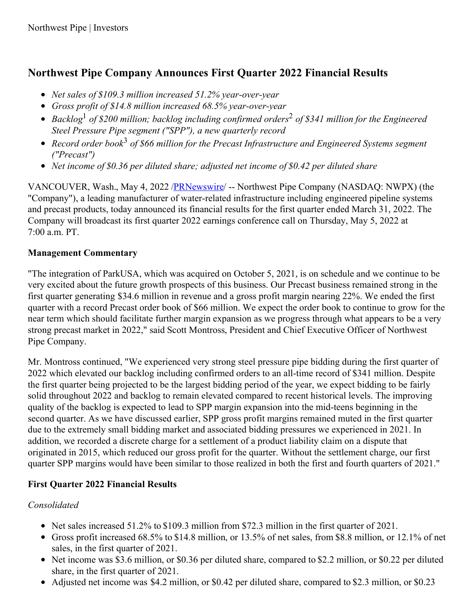# **Northwest Pipe Company Announces First Quarter 2022 Financial Results**

- *Net sales of \$109.3 million increased 51.2% year-over-year*
- *Gross profit of \$14.8 million increased 68.5% year-over-year*
- *Backlog* <sup>1</sup> *of \$200 million; backlog including confirmed orders* <sup>2</sup> *of \$341 million for the Engineered Steel Pressure Pipe segment ("SPP"), a new quarterly record*
- *Record order book* <sup>3</sup> *of \$66 million for the Precast Infrastructure and Engineered Systems segment ("Precast")*
- *Net income of \$0.36 per diluted share; adjusted net income of \$0.42 per diluted share*

VANCOUVER, Wash., May 4, 2022 [/PRNewswire](http://www.prnewswire.com/)/ -- Northwest Pipe Company (NASDAQ: NWPX) (the "Company"), a leading manufacturer of water-related infrastructure including engineered pipeline systems and precast products, today announced its financial results for the first quarter ended March 31, 2022. The Company will broadcast its first quarter 2022 earnings conference call on Thursday, May 5, 2022 at 7:00 a.m. PT.

### **Management Commentary**

"The integration of ParkUSA, which was acquired on October 5, 2021, is on schedule and we continue to be very excited about the future growth prospects of this business. Our Precast business remained strong in the first quarter generating \$34.6 million in revenue and a gross profit margin nearing 22%. We ended the first quarter with a record Precast order book of \$66 million. We expect the order book to continue to grow for the near term which should facilitate further margin expansion as we progress through what appears to be a very strong precast market in 2022," said Scott Montross, President and Chief Executive Officer of Northwest Pipe Company.

Mr. Montross continued, "We experienced very strong steel pressure pipe bidding during the first quarter of 2022 which elevated our backlog including confirmed orders to an all-time record of \$341 million. Despite the first quarter being projected to be the largest bidding period of the year, we expect bidding to be fairly solid throughout 2022 and backlog to remain elevated compared to recent historical levels. The improving quality of the backlog is expected to lead to SPP margin expansion into the mid-teens beginning in the second quarter. As we have discussed earlier, SPP gross profit margins remained muted in the first quarter due to the extremely small bidding market and associated bidding pressures we experienced in 2021. In addition, we recorded a discrete charge for a settlement of a product liability claim on a dispute that originated in 2015, which reduced our gross profit for the quarter. Without the settlement charge, our first quarter SPP margins would have been similar to those realized in both the first and fourth quarters of 2021."

## **First Quarter 2022 Financial Results**

## *Consolidated*

- $\bullet$  Net sales increased 51.2% to \$109.3 million from \$72.3 million in the first quarter of 2021.
- Gross profit increased 68.5% to \$14.8 million, or 13.5% of net sales, from \$8.8 million, or 12.1% of net sales, in the first quarter of 2021.
- Net income was \$3.6 million, or \$0.36 per diluted share, compared to \$2.2 million, or \$0.22 per diluted share, in the first quarter of 2021.
- Adjusted net income was \$4.2 million, or \$0.42 per diluted share, compared to \$2.3 million, or \$0.23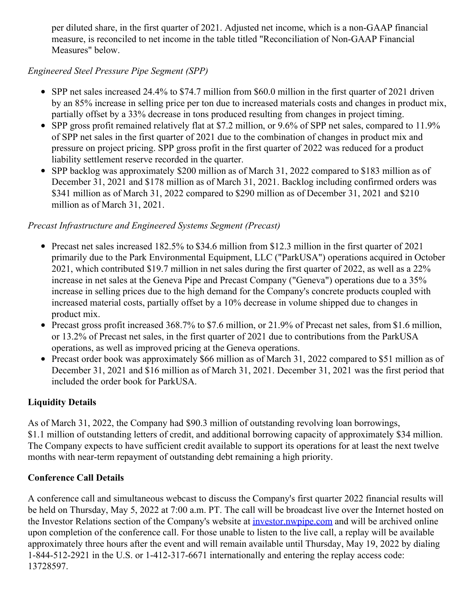per diluted share, in the first quarter of 2021. Adjusted net income, which is a non-GAAP financial measure, is reconciled to net income in the table titled "Reconciliation of Non-GAAP Financial Measures" below.

## *Engineered Steel Pressure Pipe Segment (SPP)*

- SPP net sales increased 24.4% to \$74.7 million from \$60.0 million in the first quarter of 2021 driven by an 85% increase in selling price per ton due to increased materials costs and changes in product mix, partially offset by a 33% decrease in tons produced resulting from changes in project timing.
- SPP gross profit remained relatively flat at \$7.2 million, or 9.6% of SPP net sales, compared to 11.9% of SPP net sales in the first quarter of 2021 due to the combination of changes in product mix and pressure on project pricing. SPP gross profit in the first quarter of 2022 was reduced for a product liability settlement reserve recorded in the quarter.
- SPP backlog was approximately \$200 million as of March 31, 2022 compared to \$183 million as of December 31, 2021 and \$178 million as of March 31, 2021. Backlog including confirmed orders was \$341 million as of March 31, 2022 compared to \$290 million as of December 31, 2021 and \$210 million as of March 31, 2021.

## *Precast Infrastructure and Engineered Systems Segment (Precast)*

- Precast net sales increased 182.5% to \$34.6 million from \$12.3 million in the first quarter of 2021 primarily due to the Park Environmental Equipment, LLC ("ParkUSA") operations acquired in October 2021, which contributed \$19.7 million in net sales during the first quarter of 2022, as well as a 22% increase in net sales at the Geneva Pipe and Precast Company ("Geneva") operations due to a 35% increase in selling prices due to the high demand for the Company's concrete products coupled with increased material costs, partially offset by a 10% decrease in volume shipped due to changes in product mix.
- Precast gross profit increased 368.7% to \$7.6 million, or 21.9% of Precast net sales, from \$1.6 million,  $\bullet$ or 13.2% of Precast net sales, in the first quarter of 2021 due to contributions from the ParkUSA operations, as well as improved pricing at the Geneva operations.
- Precast order book was approximately \$66 million as of March 31, 2022 compared to \$51 million as of December 31, 2021 and \$16 million as of March 31, 2021. December 31, 2021 was the first period that included the order book for ParkUSA.

## **Liquidity Details**

As of March 31, 2022, the Company had \$90.3 million of outstanding revolving loan borrowings, \$1.1 million of outstanding letters of credit, and additional borrowing capacity of approximately \$34 million. The Company expects to have sufficient credit available to support its operations for at least the next twelve months with near-term repayment of outstanding debt remaining a high priority.

## **Conference Call Details**

A conference call and simultaneous webcast to discuss the Company's first quarter 2022 financial results will be held on Thursday, May 5, 2022 at 7:00 a.m. PT. The call will be broadcast live over the Internet hosted on the Investor Relations section of the Company's website at [investor.nwpipe.com](https://c212.net/c/link/?t=0&l=en&o=3526416-1&h=2266263192&u=https%3A%2F%2Finvestor.nwpipe.com%2F&a=investor.nwpipe.com) and will be archived online upon completion of the conference call. For those unable to listen to the live call, a replay will be available approximately three hours after the event and will remain available until Thursday, May 19, 2022 by dialing 1‑844-512-2921 in the U.S. or 1‑412-317-6671 internationally and entering the replay access code: 13728597.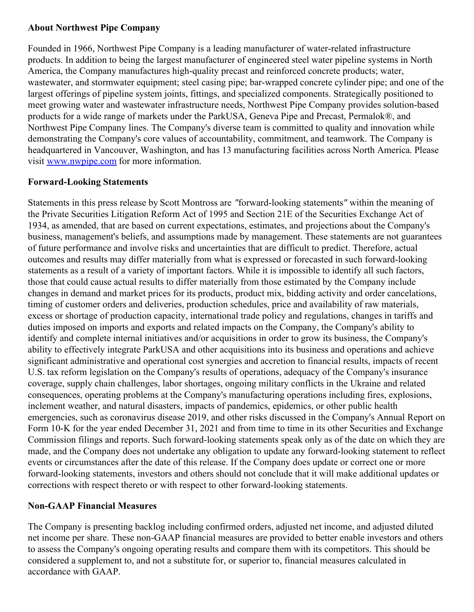#### **About Northwest Pipe Company**

Founded in 1966, Northwest Pipe Company is a leading manufacturer of water-related infrastructure products. In addition to being the largest manufacturer of engineered steel water pipeline systems in North America, the Company manufactures high-quality precast and reinforced concrete products; water, wastewater, and stormwater equipment; steel casing pipe; bar-wrapped concrete cylinder pipe; and one of the largest offerings of pipeline system joints, fittings, and specialized components. Strategically positioned to meet growing water and wastewater infrastructure needs, Northwest Pipe Company provides solution-based products for a wide range of markets under the ParkUSA, Geneva Pipe and Precast, Permalok®, and Northwest Pipe Company lines. The Company's diverse team is committed to quality and innovation while demonstrating the Company's core values of accountability, commitment, and teamwork. The Company is headquartered in Vancouver, Washington, and has 13 manufacturing facilities across North America. Please visit [www.nwpipe.com](https://c212.net/c/link/?t=0&l=en&o=3526416-1&h=208358434&u=http%3A%2F%2Fwww.nwpipe.com%2F&a=www.nwpipe.com) for more information.

#### **Forward-Looking Statements**

Statements in this press release by Scott Montross are *"*forward-looking statements*"* within the meaning of the Private Securities Litigation Reform Act of 1995 and Section 21E of the Securities Exchange Act of 1934, as amended, that are based on current expectations, estimates, and projections about the Company's business, management's beliefs, and assumptions made by management. These statements are not guarantees of future performance and involve risks and uncertainties that are difficult to predict. Therefore, actual outcomes and results may differ materially from what is expressed or forecasted in such forward-looking statements as a result of a variety of important factors. While it is impossible to identify all such factors, those that could cause actual results to differ materially from those estimated by the Company include changes in demand and market prices for its products, product mix, bidding activity and order cancelations, timing of customer orders and deliveries, production schedules, price and availability of raw materials, excess or shortage of production capacity, international trade policy and regulations, changes in tariffs and duties imposed on imports and exports and related impacts on the Company, the Company's ability to identify and complete internal initiatives and/or acquisitions in order to grow its business, the Company's ability to effectively integrate ParkUSA and other acquisitions into its business and operations and achieve significant administrative and operational cost synergies and accretion to financial results, impacts of recent U.S. tax reform legislation on the Company's results of operations, adequacy of the Company's insurance coverage, supply chain challenges, labor shortages, ongoing military conflicts in the Ukraine and related consequences, operating problems at the Company's manufacturing operations including fires, explosions, inclement weather, and natural disasters, impacts of pandemics, epidemics, or other public health emergencies, such as coronavirus disease 2019, and other risks discussed in the Company's Annual Report on Form 10-K for the year ended December 31, 2021 and from time to time in its other Securities and Exchange Commission filings and reports. Such forward-looking statements speak only as of the date on which they are made, and the Company does not undertake any obligation to update any forward-looking statement to reflect events or circumstances after the date of this release. If the Company does update or correct one or more forward-looking statements, investors and others should not conclude that it will make additional updates or corrections with respect thereto or with respect to other forward-looking statements.

#### **Non-GAAP Financial Measures**

The Company is presenting backlog including confirmed orders, adjusted net income, and adjusted diluted net income per share. These non-GAAP financial measures are provided to better enable investors and others to assess the Company's ongoing operating results and compare them with its competitors. This should be considered a supplement to, and not a substitute for, or superior to, financial measures calculated in accordance with GAAP.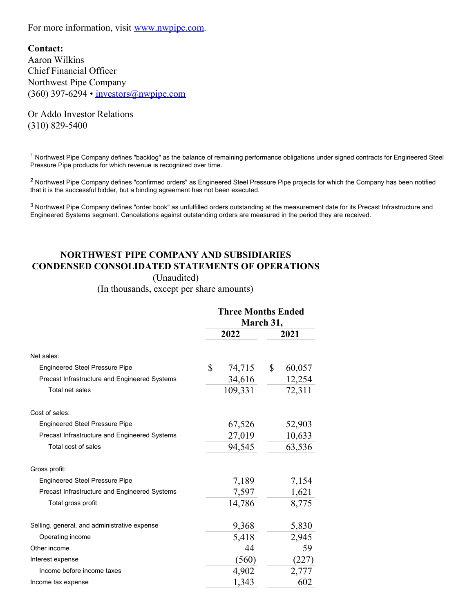For more information, visit [www.nwpipe.com](https://c212.net/c/link/?t=0&l=en&o=3526416-1&h=208358434&u=http%3A%2F%2Fwww.nwpipe.com%2F&a=www.nwpipe.com).

**Contact:** Aaron Wilkins Chief Financial Officer Northwest Pipe Company  $(360)$  397-6294 • [investors@nwpipe.com](mailto:investors@nwpipe.com)

Or Addo Investor Relations (310) 829‑5400

<sup>1</sup> Northwest Pipe Company defines "backlog" as the balance of remaining performance obligations under signed contracts for Engineered Steel Pressure Pipe products for which revenue is recognized over time.

<sup>2</sup> Northwest Pipe Company defines "confirmed orders" as Engineered Steel Pressure Pipe projects for which the Company has been notified that it is the successful bidder, but a binding agreement has not been executed.

<sup>3</sup> Northwest Pipe Company defines "order book" as unfulfilled orders outstanding at the measurement date for its Precast Infrastructure and Engineered Systems segment. Cancelations against outstanding orders are measured in the period they are received.

### **NORTHWEST PIPE COMPANY AND SUBSIDIARIES CONDENSED CONSOLIDATED STATEMENTS OF OPERATIONS**

#### (Unaudited)

(In thousands, except per share amounts)

|                                               | <b>Three Months Ended</b><br>March 31, |         |      |        |
|-----------------------------------------------|----------------------------------------|---------|------|--------|
|                                               | 2022                                   |         | 2021 |        |
| Net sales:                                    |                                        |         |      |        |
| <b>Engineered Steel Pressure Pipe</b>         | \$                                     | 74,715  | \$   | 60,057 |
| Precast Infrastructure and Engineered Systems |                                        | 34,616  |      | 12,254 |
| Total net sales                               |                                        | 109,331 |      | 72,311 |
| Cost of sales:                                |                                        |         |      |        |
| <b>Engineered Steel Pressure Pipe</b>         |                                        | 67,526  |      | 52,903 |
| Precast Infrastructure and Engineered Systems |                                        | 27,019  |      | 10,633 |
| Total cost of sales                           |                                        | 94,545  |      | 63,536 |
| Gross profit:                                 |                                        |         |      |        |
| <b>Engineered Steel Pressure Pipe</b>         |                                        | 7,189   |      | 7,154  |
| Precast Infrastructure and Engineered Systems |                                        | 7,597   |      | 1,621  |
| Total gross profit                            |                                        | 14,786  |      | 8,775  |
| Selling, general, and administrative expense  |                                        | 9,368   |      | 5,830  |
| Operating income                              |                                        | 5,418   |      | 2,945  |
| Other income                                  |                                        | 44      |      | 59     |
| Interest expense                              |                                        | (560)   |      | (227)  |
| Income before income taxes                    |                                        | 4,902   |      | 2,777  |
| Income tax expense                            |                                        | 1,343   |      | 602    |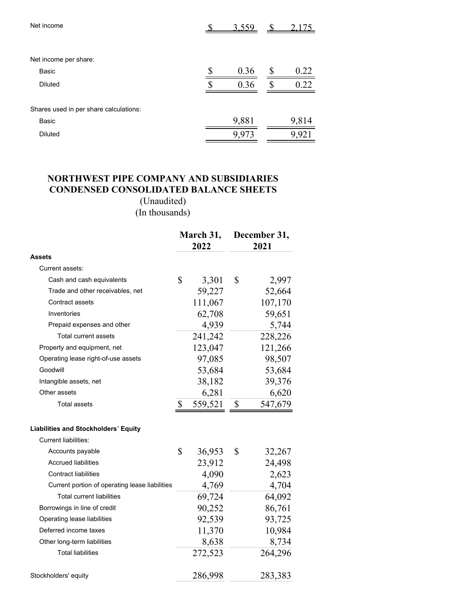|   | 3.559 |   |       |
|---|-------|---|-------|
|   |       |   |       |
| S | 0.36  | S | 0.22  |
|   | 0.36  | S | 0.22  |
|   |       |   |       |
|   | 9,881 |   | 9,814 |
|   | 9,973 |   | 9,921 |
|   |       |   |       |

## **NORTHWEST PIPE COMPANY AND SUBSIDIARIES CONDENSED CONSOLIDATED BALANCE SHEETS**

(Unaudited)

(In thousands)

|                                                | March 31,<br>2022 |         | December 31,<br>2021 |         |  |
|------------------------------------------------|-------------------|---------|----------------------|---------|--|
| Assets                                         |                   |         |                      |         |  |
| Current assets:                                |                   |         |                      |         |  |
| Cash and cash equivalents                      | $\mathbb{S}$      | 3,301   | \$                   | 2,997   |  |
| Trade and other receivables, net               |                   | 59,227  |                      | 52,664  |  |
| Contract assets                                |                   | 111,067 |                      | 107,170 |  |
| Inventories                                    |                   | 62,708  |                      | 59,651  |  |
| Prepaid expenses and other                     |                   | 4,939   |                      | 5,744   |  |
| <b>Total current assets</b>                    |                   | 241,242 |                      | 228,226 |  |
| Property and equipment, net                    |                   | 123,047 |                      | 121,266 |  |
| Operating lease right-of-use assets            |                   | 97,085  |                      | 98,507  |  |
| Goodwill                                       |                   | 53,684  |                      | 53,684  |  |
| Intangible assets, net                         |                   | 38,182  |                      | 39,376  |  |
| Other assets                                   |                   | 6,281   |                      | 6,620   |  |
| <b>Total assets</b>                            |                   | 559,521 | \$                   | 547,679 |  |
| <b>Liabilities and Stockholders' Equity</b>    |                   |         |                      |         |  |
| <b>Current liabilities:</b>                    |                   |         |                      |         |  |
| Accounts payable                               | \$                | 36,953  | \$                   | 32,267  |  |
| <b>Accrued liabilities</b>                     |                   | 23,912  |                      | 24,498  |  |
| <b>Contract liabilities</b>                    |                   | 4,090   |                      | 2,623   |  |
| Current portion of operating lease liabilities |                   | 4,769   |                      | 4,704   |  |
| <b>Total current liabilities</b>               |                   | 69,724  |                      | 64,092  |  |
| Borrowings in line of credit                   |                   | 90,252  |                      | 86,761  |  |
| Operating lease liabilities                    |                   | 92,539  |                      | 93,725  |  |
| Deferred income taxes                          |                   | 11,370  |                      | 10,984  |  |
| Other long-term liabilities                    |                   | 8,638   |                      | 8,734   |  |
| <b>Total liabilities</b>                       |                   | 272,523 |                      | 264,296 |  |
| Stockholders' equity                           |                   | 286,998 |                      | 283,383 |  |